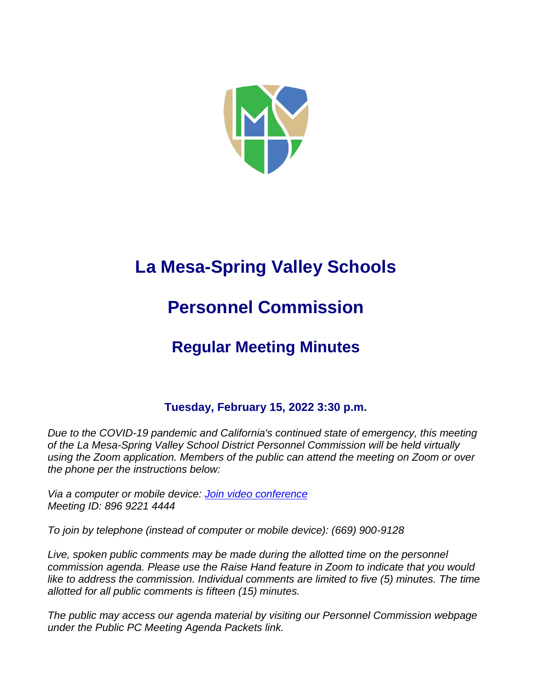

# **La Mesa-Spring Valley Schools**

# **Personnel Commission**

# **Regular Meeting Minutes**

# **Tuesday, February 15, 2022 3:30 p.m.**

*Due to the COVID-19 pandemic and California's continued state of emergency, this meeting of the La Mesa-Spring Valley School District Personnel Commission will be held virtually using the Zoom application. Members of the public can attend the meeting on Zoom or over the phone per the instructions below:*

*Via a computer or mobile device: [Join video conference](https://lmsvsd-net.zoom.us/j/89692214444) Meeting ID: 896 9221 4444*

*To join by telephone (instead of computer or mobile device): (669) 900-9128*

Live, spoken public comments may be made during the allotted time on the personnel *commission agenda. Please use the Raise Hand feature in Zoom to indicate that you would like to address the commission. Individual comments are limited to five (5) minutes. The time allotted for all public comments is fifteen (15) minutes.*

*The public may access our agenda material by visiting our Personnel Commission webpage under the Public PC Meeting Agenda Packets link.*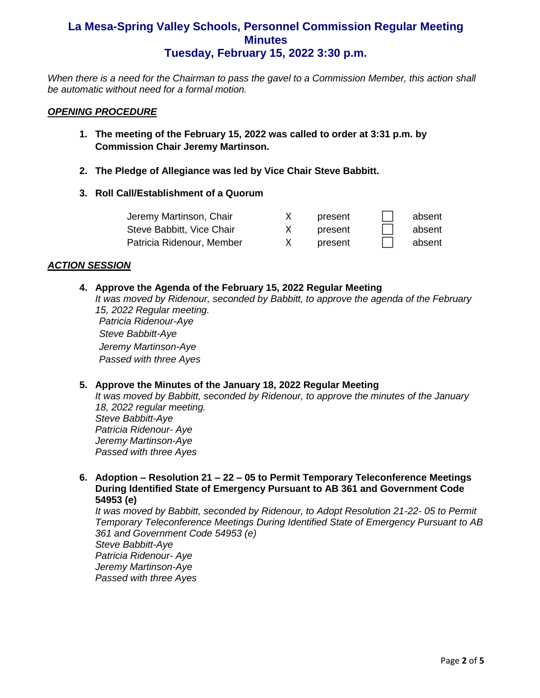*When there is a need for the Chairman to pass the gavel to a Commission Member, this action shall be automatic without need for a formal motion.*

#### *OPENING PROCEDURE*

- **1. The meeting of the February 15, 2022 was called to order at 3:31 p.m. by Commission Chair Jeremy Martinson.**
- **2. The Pledge of Allegiance was led by Vice Chair Steve Babbitt.**
- **3. Roll Call/Establishment of a Quorum**

| Jeremy Martinson, Chair   | present | absent |
|---------------------------|---------|--------|
| Steve Babbitt, Vice Chair | present | absent |
| Patricia Ridenour, Member | present | absent |

#### *ACTION SESSION*

#### **4. Approve the Agenda of the February 15, 2022 Regular Meeting**

*It was moved by Ridenour, seconded by Babbitt, to approve the agenda of the February 15, 2022 Regular meeting.* 

*Patricia Ridenour-Aye Steve Babbitt-Aye Jeremy Martinson-Aye Passed with three Ayes*

#### **5. Approve the Minutes of the January 18, 2022 Regular Meeting**

*It was moved by Babbitt, seconded by Ridenour, to approve the minutes of the January 18, 2022 regular meeting. Steve Babbitt-Aye Patricia Ridenour- Aye Jeremy Martinson-Aye Passed with three Ayes*

#### **6. Adoption – Resolution 21 – 22 – 05 to Permit Temporary Teleconference Meetings During Identified State of Emergency Pursuant to AB 361 and Government Code 54953 (e)**

*It was moved by Babbitt, seconded by Ridenour, to Adopt Resolution 21-22- 05 to Permit Temporary Teleconference Meetings During Identified State of Emergency Pursuant to AB 361 and Government Code 54953 (e) Steve Babbitt-Aye*

*Patricia Ridenour- Aye Jeremy Martinson-Aye Passed with three Ayes*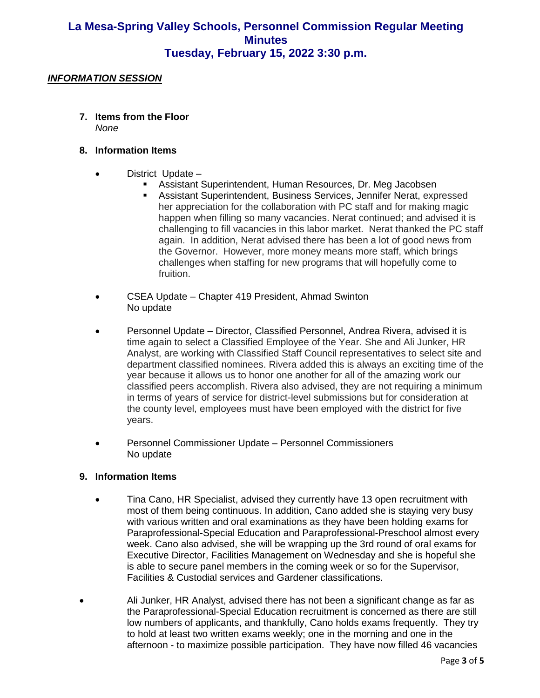#### *INFORMATION SESSION*

**7. Items from the Floor**  *None*

#### **8. Information Items**

- District Update
	- **EXECTS:** Assistant Superintendent, Human Resources, Dr. Meg Jacobsen
		- Assistant Superintendent, Business Services, Jennifer Nerat, expressed her appreciation for the collaboration with PC staff and for making magic happen when filling so many vacancies. Nerat continued; and advised it is challenging to fill vacancies in this labor market. Nerat thanked the PC staff again. In addition, Nerat advised there has been a lot of good news from the Governor. However, more money means more staff, which brings challenges when staffing for new programs that will hopefully come to fruition.
- CSEA Update Chapter 419 President, Ahmad Swinton No update
- Personnel Update Director, Classified Personnel, Andrea Rivera, advised it is time again to select a Classified Employee of the Year. She and Ali Junker, HR Analyst, are working with Classified Staff Council representatives to select site and department classified nominees. Rivera added this is always an exciting time of the year because it allows us to honor one another for all of the amazing work our classified peers accomplish. Rivera also advised, they are not requiring a minimum in terms of years of service for district-level submissions but for consideration at the county level, employees must have been employed with the district for five years.
- Personnel Commissioner Update Personnel Commissioners No update

#### **9. Information Items**

- Tina Cano, HR Specialist, advised they currently have 13 open recruitment with most of them being continuous. In addition, Cano added she is staying very busy with various written and oral examinations as they have been holding exams for Paraprofessional-Special Education and Paraprofessional-Preschool almost every week. Cano also advised, she will be wrapping up the 3rd round of oral exams for Executive Director, Facilities Management on Wednesday and she is hopeful she is able to secure panel members in the coming week or so for the Supervisor, Facilities & Custodial services and Gardener classifications.
- Ali Junker, HR Analyst, advised there has not been a significant change as far as the Paraprofessional-Special Education recruitment is concerned as there are still low numbers of applicants, and thankfully, Cano holds exams frequently. They try to hold at least two written exams weekly; one in the morning and one in the afternoon - to maximize possible participation. They have now filled 46 vacancies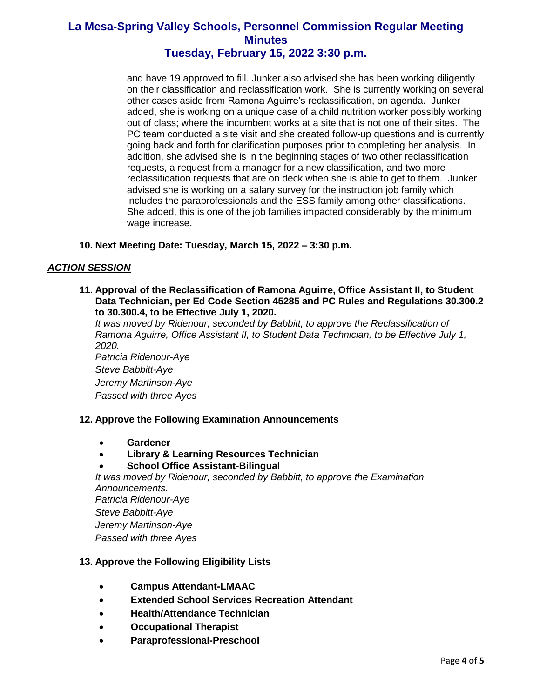and have 19 approved to fill. Junker also advised she has been working diligently on their classification and reclassification work. She is currently working on several other cases aside from Ramona Aguirre's reclassification, on agenda. Junker added, she is working on a unique case of a child nutrition worker possibly working out of class; where the incumbent works at a site that is not one of their sites. The PC team conducted a site visit and she created follow-up questions and is currently going back and forth for clarification purposes prior to completing her analysis. In addition, she advised she is in the beginning stages of two other reclassification requests, a request from a manager for a new classification, and two more reclassification requests that are on deck when she is able to get to them. Junker advised she is working on a salary survey for the instruction job family which includes the paraprofessionals and the ESS family among other classifications. She added, this is one of the job families impacted considerably by the minimum wage increase.

#### **10. Next Meeting Date: Tuesday, March 15, 2022 – 3:30 p.m.**

#### *ACTION SESSION*

**11. Approval of the Reclassification of Ramona Aguirre, Office Assistant II, to Student Data Technician, per Ed Code Section 45285 and PC Rules and Regulations 30.300.2 to 30.300.4, to be Effective July 1, 2020.**

*It was moved by Ridenour, seconded by Babbitt, to approve the Reclassification of Ramona Aguirre, Office Assistant II, to Student Data Technician, to be Effective July 1, 2020.*

*Patricia Ridenour-Aye Steve Babbitt-Aye Jeremy Martinson-Aye Passed with three Ayes*

#### **12. Approve the Following Examination Announcements**

- **Gardener**
- **Library & Learning Resources Technician**

#### • **School Office Assistant-Bilingual**

*It was moved by Ridenour, seconded by Babbitt, to approve the Examination Announcements. Patricia Ridenour-Aye Steve Babbitt-Aye Jeremy Martinson-Aye Passed with three Ayes*

#### **13. Approve the Following Eligibility Lists**

- **Campus Attendant-LMAAC**
- **Extended School Services Recreation Attendant**
- **Health/Attendance Technician**
- **Occupational Therapist**
- **Paraprofessional-Preschool**